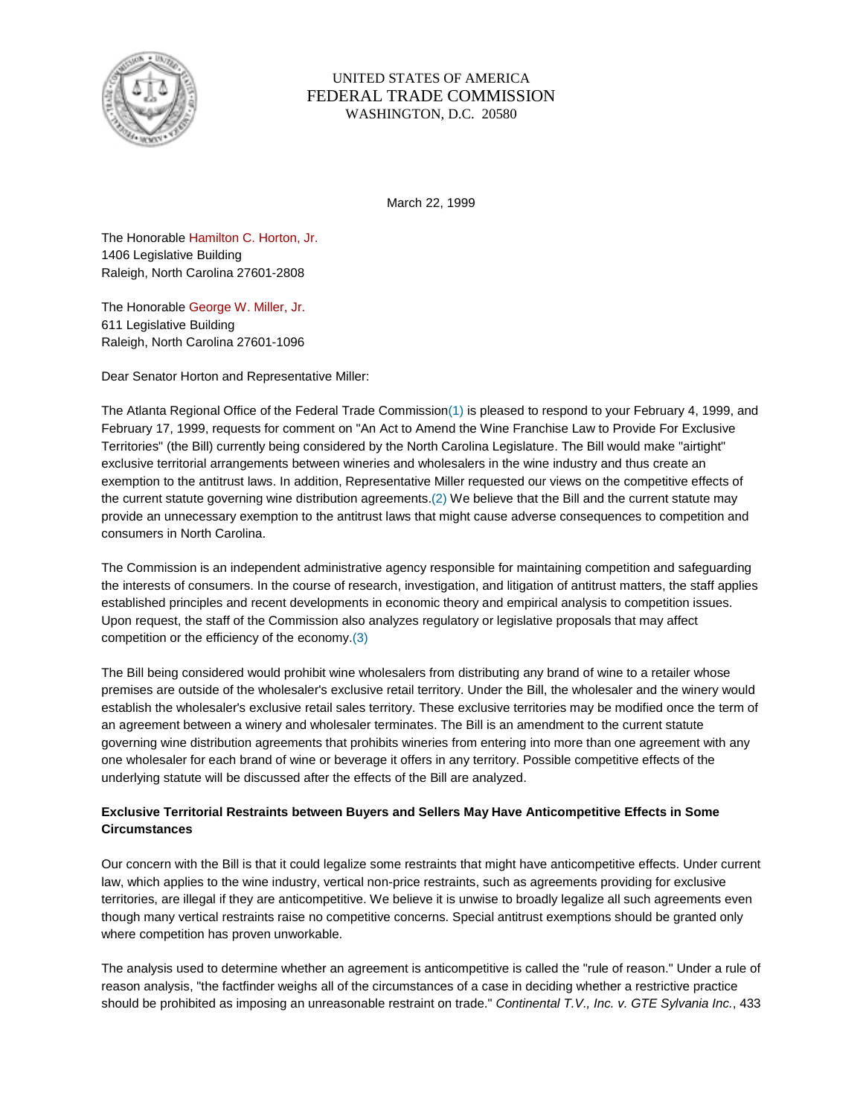

## UNITED STATES OF AMERICA FEDERAL TRADE COMMISSION WASHINGTON, D.C. 20580

March 22, 1999

The Honorable Hamilton C. Horton, Jr. 1406 Legislative Building Raleigh, North Carolina 27601-2808

The Honorable George W. Miller, Jr. 611 Legislative Building Raleigh, North Carolina 27601-1096

Dear Senator Horton and Representative Miller:

The Atlanta Regional Office of the Federal Trade Commission(1) is pleased to respond to your February 4, 1999, and February 17, 1999, requests for comment on "An Act to Amend the Wine Franchise Law to Provide For Exclusive Territories" (the Bill) currently being considered by the North Carolina Legislature. The Bill would make "airtight" exclusive territorial arrangements between wineries and wholesalers in the wine industry and thus create an exemption to the antitrust laws. In addition, Representative Miller requested our views on the competitive effects of the current statute governing wine distribution agreements.(2) We believe that the Bill and the current statute may provide an unnecessary exemption to the antitrust laws that might cause adverse consequences to competition and consumers in North Carolina.

The Commission is an independent administrative agency responsible for maintaining competition and safeguarding the interests of consumers. In the course of research, investigation, and litigation of antitrust matters, the staff applies established principles and recent developments in economic theory and empirical analysis to competition issues. Upon request, the staff of the Commission also analyzes regulatory or legislative proposals that may affect competition or the efficiency of the economy.(3)

The Bill being considered would prohibit wine wholesalers from distributing any brand of wine to a retailer whose premises are outside of the wholesaler's exclusive retail territory. Under the Bill, the wholesaler and the winery would establish the wholesaler's exclusive retail sales territory. These exclusive territories may be modified once the term of an agreement between a winery and wholesaler terminates. The Bill is an amendment to the current statute governing wine distribution agreements that prohibits wineries from entering into more than one agreement with any one wholesaler for each brand of wine or beverage it offers in any territory. Possible competitive effects of the underlying statute will be discussed after the effects of the Bill are analyzed.

## **Exclusive Territorial Restraints between Buyers and Sellers May Have Anticompetitive Effects in Some Circumstances**

Our concern with the Bill is that it could legalize some restraints that might have anticompetitive effects. Under current law, which applies to the wine industry, vertical non-price restraints, such as agreements providing for exclusive territories, are illegal if they are anticompetitive. We believe it is unwise to broadly legalize all such agreements even though many vertical restraints raise no competitive concerns. Special antitrust exemptions should be granted only where competition has proven unworkable.

The analysis used to determine whether an agreement is anticompetitive is called the "rule of reason." Under a rule of reason analysis, "the factfinder weighs all of the circumstances of a case in deciding whether a restrictive practice should be prohibited as imposing an unreasonable restraint on trade." *Continental T.V., Inc. v. GTE Sylvania Inc.*, 433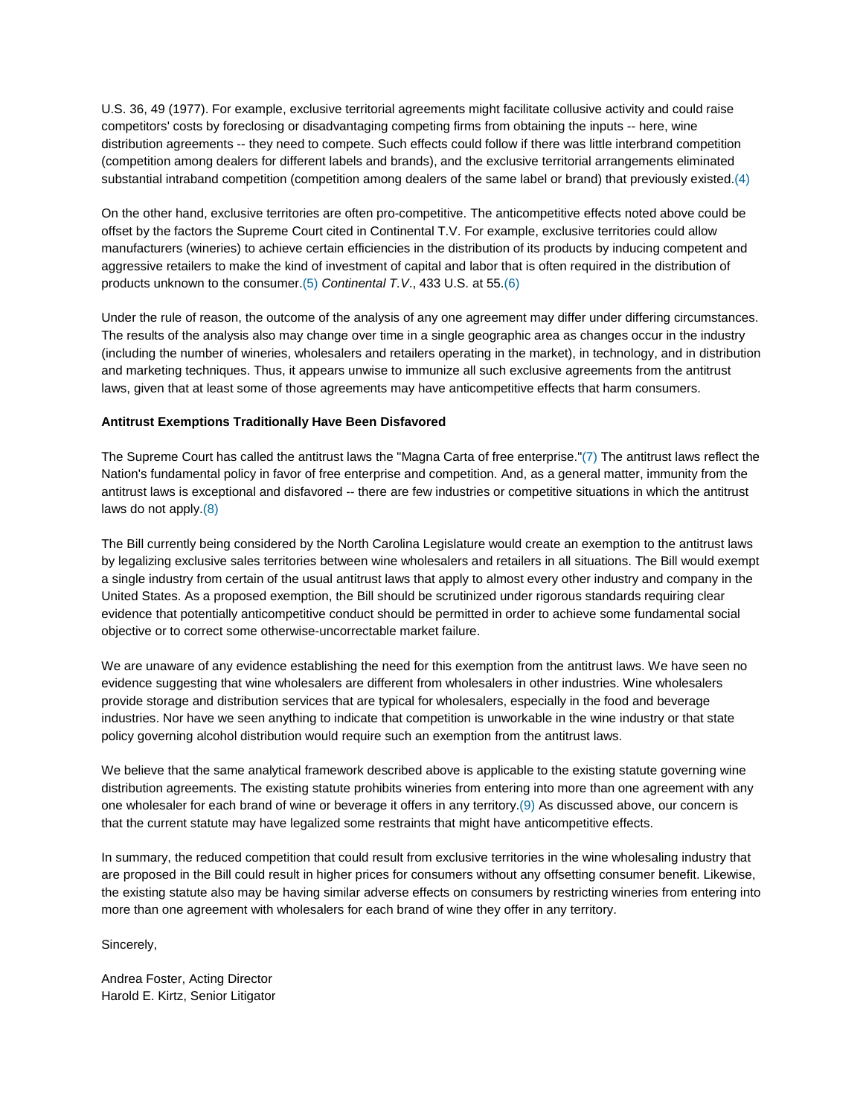U.S. 36, 49 (1977). For example, exclusive territorial agreements might facilitate collusive activity and could raise competitors' costs by foreclosing or disadvantaging competing firms from obtaining the inputs -- here, wine distribution agreements -- they need to compete. Such effects could follow if there was little interbrand competition (competition among dealers for different labels and brands), and the exclusive territorial arrangements eliminated substantial intraband competition (competition among dealers of the same label or brand) that previously existed.(4)

On the other hand, exclusive territories are often pro-competitive. The anticompetitive effects noted above could be offset by the factors the Supreme Court cited in Continental T.V. For example, exclusive territories could allow manufacturers (wineries) to achieve certain efficiencies in the distribution of its products by inducing competent and aggressive retailers to make the kind of investment of capital and labor that is often required in the distribution of products unknown to the consumer.(5) *Continental T.V*., 433 U.S. at 55.(6)

Under the rule of reason, the outcome of the analysis of any one agreement may differ under differing circumstances. The results of the analysis also may change over time in a single geographic area as changes occur in the industry (including the number of wineries, wholesalers and retailers operating in the market), in technology, and in distribution and marketing techniques. Thus, it appears unwise to immunize all such exclusive agreements from the antitrust laws, given that at least some of those agreements may have anticompetitive effects that harm consumers.

## **Antitrust Exemptions Traditionally Have Been Disfavored**

The Supreme Court has called the antitrust laws the "Magna Carta of free enterprise."(7) The antitrust laws reflect the Nation's fundamental policy in favor of free enterprise and competition. And, as a general matter, immunity from the antitrust laws is exceptional and disfavored -- there are few industries or competitive situations in which the antitrust laws do not apply.(8)

The Bill currently being considered by the North Carolina Legislature would create an exemption to the antitrust laws by legalizing exclusive sales territories between wine wholesalers and retailers in all situations. The Bill would exempt a single industry from certain of the usual antitrust laws that apply to almost every other industry and company in the United States. As a proposed exemption, the Bill should be scrutinized under rigorous standards requiring clear evidence that potentially anticompetitive conduct should be permitted in order to achieve some fundamental social objective or to correct some otherwise-uncorrectable market failure.

We are unaware of any evidence establishing the need for this exemption from the antitrust laws. We have seen no evidence suggesting that wine wholesalers are different from wholesalers in other industries. Wine wholesalers provide storage and distribution services that are typical for wholesalers, especially in the food and beverage industries. Nor have we seen anything to indicate that competition is unworkable in the wine industry or that state policy governing alcohol distribution would require such an exemption from the antitrust laws.

We believe that the same analytical framework described above is applicable to the existing statute governing wine distribution agreements. The existing statute prohibits wineries from entering into more than one agreement with any one wholesaler for each brand of wine or beverage it offers in any territory.(9) As discussed above, our concern is that the current statute may have legalized some restraints that might have anticompetitive effects.

In summary, the reduced competition that could result from exclusive territories in the wine wholesaling industry that are proposed in the Bill could result in higher prices for consumers without any offsetting consumer benefit. Likewise, the existing statute also may be having similar adverse effects on consumers by restricting wineries from entering into more than one agreement with wholesalers for each brand of wine they offer in any territory.

Sincerely,

Andrea Foster, Acting Director Harold E. Kirtz, Senior Litigator